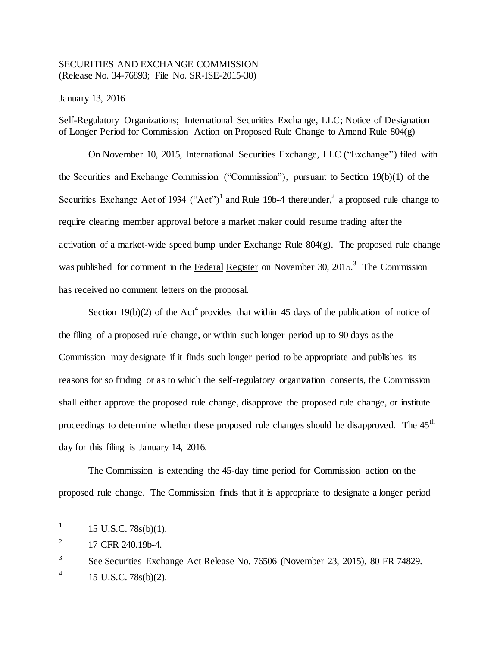## SECURITIES AND EXCHANGE COMMISSION (Release No. 34-76893; File No. SR-ISE-2015-30)

January 13, 2016

Self-Regulatory Organizations; International Securities Exchange, LLC; Notice of Designation of Longer Period for Commission Action on Proposed Rule Change to Amend Rule 804(g)

On November 10, 2015, International Securities Exchange, LLC ("Exchange") filed with the Securities and Exchange Commission ("Commission"), pursuant to Section 19(b)(1) of the Securities Exchange Act of 1934 ("Act")<sup>1</sup> and Rule 19b-4 thereunder,<sup>2</sup> a proposed rule change to require clearing member approval before a market maker could resume trading after the activation of a market-wide speed bump under Exchange Rule 804(g). The proposed rule change was published for comment in the Federal Register on November 30, 2015.<sup>3</sup> The Commission has received no comment letters on the proposal.

Section 19(b)(2) of the Act<sup>4</sup> provides that within 45 days of the publication of notice of the filing of a proposed rule change, or within such longer period up to 90 days as the Commission may designate if it finds such longer period to be appropriate and publishes its reasons for so finding or as to which the self-regulatory organization consents, the Commission shall either approve the proposed rule change, disapprove the proposed rule change, or institute proceedings to determine whether these proposed rule changes should be disapproved. The  $45<sup>th</sup>$ day for this filing is January 14, 2016.

The Commission is extending the 45-day time period for Commission action on the proposed rule change. The Commission finds that it is appropriate to designate a longer period

 $\frac{1}{1}$ 15 U.S.C. 78s(b)(1).

<sup>2</sup> 17 CFR 240.19b-4.

<sup>3</sup> See Securities Exchange Act Release No. 76506 (November 23, 2015), 80 FR 74829.

<sup>4</sup> 15 U.S.C. 78s(b)(2).